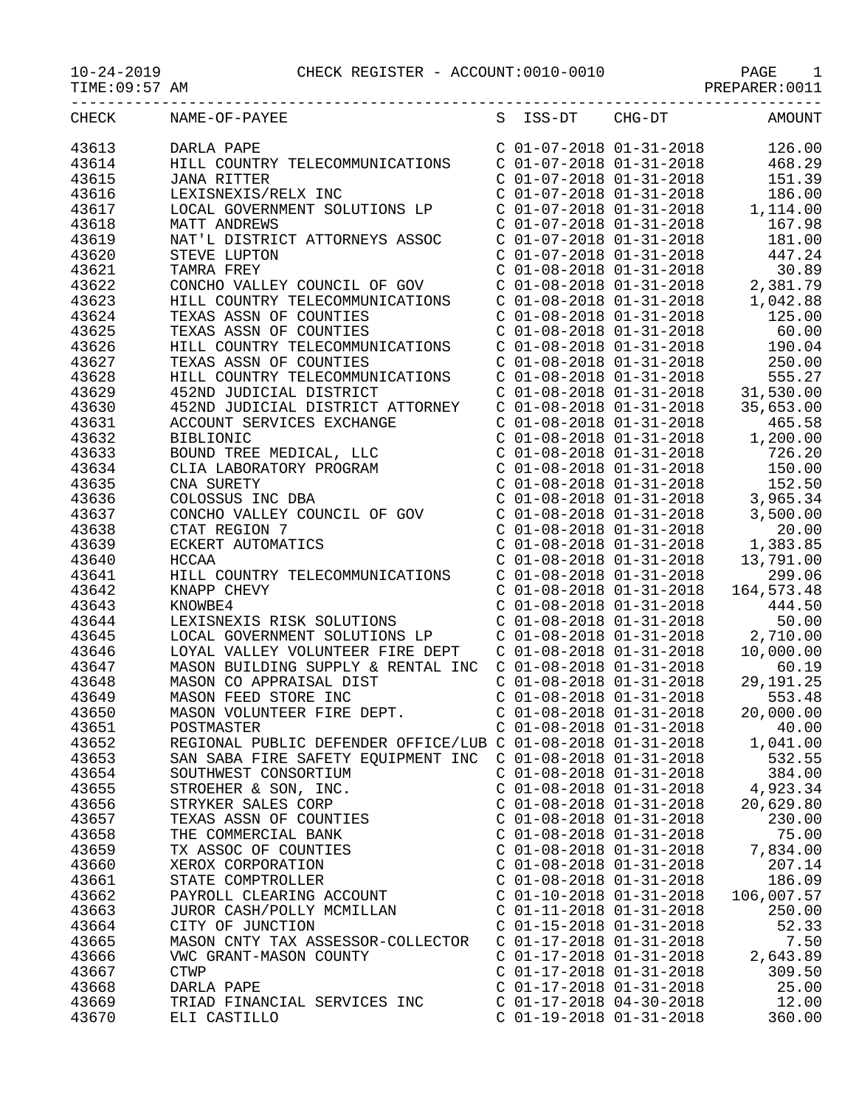PREPARER:0011

| CHECK          | NAME-OF-PAYEE                                                    |                                                        | S ISS-DT CHG-DT                                                                                                                                  | AMOUNT                                                                                                                                                                          |
|----------------|------------------------------------------------------------------|--------------------------------------------------------|--------------------------------------------------------------------------------------------------------------------------------------------------|---------------------------------------------------------------------------------------------------------------------------------------------------------------------------------|
| 43613          | DARLA PAPE                                                       |                                                        | $C$ 01-07-2018 01-31-2018                                                                                                                        | 126.00                                                                                                                                                                          |
| 43614          | HILL COUNTRY TELECOMMUNICATIONS                                  |                                                        | $C$ 01-07-2018 01-31-2018                                                                                                                        | 468.29                                                                                                                                                                          |
| 43615          | <b>JANA RITTER</b>                                               |                                                        | $C$ 01-07-2018 01-31-2018                                                                                                                        | 151.39                                                                                                                                                                          |
| 43616          | LEXISNEXIS/RELX INC                                              |                                                        |                                                                                                                                                  | 186.00                                                                                                                                                                          |
| 43617          | LOCAL GOVERNMENT SOLUTIONS LP                                    |                                                        | $\begin{array}{cccc} \text{C} & 01-07-2018 & 01-31-2018 \\ \text{C} & 01-07-2018 & 01-31-2018 \\ \text{C} & 01-07-2018 & 01-31-2018 \end{array}$ | 1,114.00                                                                                                                                                                        |
| 43618          | MATT ANDREWS                                                     |                                                        |                                                                                                                                                  | 167.98                                                                                                                                                                          |
| 43619          | NAT'L DISTRICT ATTORNEYS ASSOC                                   |                                                        | $C$ 01-07-2018 01-31-2018                                                                                                                        | 181.00                                                                                                                                                                          |
| 43620          | STEVE LUPTON                                                     |                                                        | $C$ 01-07-2018 01-31-2018                                                                                                                        | 447.24                                                                                                                                                                          |
| 43621          | TAMRA FREY                                                       |                                                        | $C$ 01-08-2018 01-31-2018                                                                                                                        | 30.89                                                                                                                                                                           |
| 43622          | CONCHO VALLEY COUNCIL OF GOV                                     |                                                        |                                                                                                                                                  | 2,381.79                                                                                                                                                                        |
| 43623          | HILL COUNTRY TELECOMMUNICATIONS                                  |                                                        | $C 01-08-2018 01-31-2018$<br>$C 01-08-2018 01-31-2018$<br>$C 01-08-2018 01-31-2018$<br>$C 01-08-2018 01-31-2018$                                 | 1,042.88                                                                                                                                                                        |
| 43624          | TEXAS ASSN OF COUNTIES                                           |                                                        |                                                                                                                                                  | 125.00                                                                                                                                                                          |
| 43625          | TEXAS ASSN OF COUNTIES                                           |                                                        | $C$ 01-08-2018 01-31-2018                                                                                                                        | 60.00                                                                                                                                                                           |
| 43626          | HILL COUNTRY TELECOMMUNICATIONS                                  |                                                        | $C$ 01-08-2018 01-31-2018                                                                                                                        | 190.04                                                                                                                                                                          |
| 43627          | TEXAS ASSN OF COUNTIES                                           |                                                        | $C$ 01-08-2018 01-31-2018                                                                                                                        | 250.00                                                                                                                                                                          |
| 43628          | HILL COUNTRY TELECOMMUNICATIONS                                  |                                                        | $C$ 01-08-2018 01-31-2018                                                                                                                        | 555.27                                                                                                                                                                          |
| 43629          | 452ND JUDICIAL DISTRICT                                          |                                                        |                                                                                                                                                  | $C$ 01-08-2018 01-31-2018 31,530.00                                                                                                                                             |
| 43630          | 452ND JUDICIAL DISTRICT ATTORNEY                                 |                                                        | $C$ 01-08-2018 01-31-2018                                                                                                                        | 35,653.00                                                                                                                                                                       |
| 43631          | ACCOUNT SERVICES EXCHANGE                                        | $C$ 01-08-2018 01-31-2018                              |                                                                                                                                                  | 465.58                                                                                                                                                                          |
| 43632          | <b>BIBLIONIC</b>                                                 |                                                        | $C$ 01-08-2018 01-31-2018                                                                                                                        | 1,200.00                                                                                                                                                                        |
| 43633          | BOUND TREE MEDICAL, LLC<br>CLIA LABORATORY PROGRAM<br>CNA CURETY |                                                        | $C$ 01-08-2018 01-31-2018                                                                                                                        | 726.20                                                                                                                                                                          |
| 43634          |                                                                  |                                                        | $C$ 01-08-2018 01-31-2018                                                                                                                        | 150.00                                                                                                                                                                          |
| 43635          | CNA SURETY                                                       |                                                        | $C$ 01-08-2018 01-31-2018                                                                                                                        | 152.50                                                                                                                                                                          |
| 43636          | COLOSSUS INC DBA                                                 |                                                        |                                                                                                                                                  | $C$ 01-08-2018 01-31-2018 3,965.34                                                                                                                                              |
| 43637          | CONCHO VALLEY COUNCIL OF GOV                                     |                                                        | $C$ 01-08-2018 01-31-2018                                                                                                                        | 3,500.00                                                                                                                                                                        |
| 43638          | CTAT REGION 7                                                    |                                                        |                                                                                                                                                  |                                                                                                                                                                                 |
| 43639          | ECKERT AUTOMATICS                                                |                                                        |                                                                                                                                                  |                                                                                                                                                                                 |
| 43640          | HCCAA                                                            |                                                        |                                                                                                                                                  | $\begin{array}{cccc} \text{C} & 01-08-2018 & 01-31-2018 & 20.00 \\ \text{C} & 01-08-2018 & 01-31-2018 & 1,383.85 \\ \text{C} & 01-08-2018 & 01-31-2018 & 13,791.00 \end{array}$ |
| 43641          | HILL COUNTRY TELECOMMUNICATIONS                                  | $C$ 01-08-2018 01-31-2018                              |                                                                                                                                                  | 299.06                                                                                                                                                                          |
| 43642          | KNAPP CHEVY                                                      | $C$ 01-08-2018 01-31-2018                              |                                                                                                                                                  | 164, 573.48                                                                                                                                                                     |
| 43643          | KNOWBE4                                                          | $C$ 01-08-2018 01-31-2018                              |                                                                                                                                                  | 444.50                                                                                                                                                                          |
| 43644          | LEXISNEXIS RISK SOLUTIONS                                        | $C$ 01-08-2018 01-31-2018                              |                                                                                                                                                  | 50.00                                                                                                                                                                           |
| 43645          | LOCAL GOVERNMENT SOLUTIONS LP                                    | $C$ 01-08-2018 01-31-2018                              |                                                                                                                                                  | 2,710.00                                                                                                                                                                        |
| 43646          | LOYAL VALLEY VOLUNTEER FIRE DEPT                                 |                                                        | $C$ 01-08-2018 01-31-2018                                                                                                                        | 10,000.00                                                                                                                                                                       |
| 43647          | MASON BUILDING SUPPLY & RENTAL INC                               | $C$ 01-08-2018 01-31-2018                              |                                                                                                                                                  | 60.19                                                                                                                                                                           |
| 43648          | MASON CO APPRAISAL DIST                                          | $C$ 01-08-2018 01-31-2018                              |                                                                                                                                                  | 29,191.25                                                                                                                                                                       |
| 43649          | MASON FEED STORE INC                                             | $C$ 01-08-2018 01-31-2018                              |                                                                                                                                                  | 553.48                                                                                                                                                                          |
| 43650          | MASON VOLUNTEER FIRE DEPT.                                       | $C$ 01-08-2018 01-31-2018                              |                                                                                                                                                  | 20,000.00                                                                                                                                                                       |
| 43651          | POSTMASTER                                                       | $C$ 01-08-2018 01-31-2018                              |                                                                                                                                                  | 40.00                                                                                                                                                                           |
| 43652          | REGIONAL PUBLIC DEFENDER OFFICE/LUB C 01-08-2018 01-31-2018      |                                                        |                                                                                                                                                  | 1,041.00                                                                                                                                                                        |
| 43653          | SAN SABA FIRE SAFETY EQUIPMENT INC                               | $C$ 01-08-2018 01-31-2018                              |                                                                                                                                                  | 532.55                                                                                                                                                                          |
| 43654          | SOUTHWEST CONSORTIUM                                             | $C$ 01-08-2018 01-31-2018                              |                                                                                                                                                  | 384.00                                                                                                                                                                          |
| 43655          | STROEHER & SON, INC.                                             | $C$ 01-08-2018 01-31-2018                              |                                                                                                                                                  | 4,923.34                                                                                                                                                                        |
| 43656          | STRYKER SALES CORP                                               | $C$ 01-08-2018 01-31-2018                              |                                                                                                                                                  | 20,629.80                                                                                                                                                                       |
| 43657          | TEXAS ASSN OF COUNTIES                                           | $C$ 01-08-2018 01-31-2018                              |                                                                                                                                                  | 230.00                                                                                                                                                                          |
| 43658          | THE COMMERCIAL BANK                                              | $C$ 01-08-2018 01-31-2018                              |                                                                                                                                                  | 75.00                                                                                                                                                                           |
| 43659          | TX ASSOC OF COUNTIES                                             | $C$ 01-08-2018 01-31-2018                              |                                                                                                                                                  | 7,834.00                                                                                                                                                                        |
| 43660          | XEROX CORPORATION                                                | $C$ 01-08-2018 01-31-2018                              |                                                                                                                                                  | 207.14                                                                                                                                                                          |
| 43661          | STATE COMPTROLLER                                                | $C$ 01-08-2018 01-31-2018                              |                                                                                                                                                  | 186.09                                                                                                                                                                          |
| 43662          | PAYROLL CLEARING ACCOUNT                                         | C 01-10-2018 01-31-2018                                |                                                                                                                                                  | 106,007.57                                                                                                                                                                      |
| 43663          | JUROR CASH/POLLY MCMILLAN                                        | $C$ 01-11-2018 01-31-2018                              |                                                                                                                                                  | 250.00                                                                                                                                                                          |
| 43664          | CITY OF JUNCTION                                                 | $C$ 01-15-2018 01-31-2018                              |                                                                                                                                                  | 52.33                                                                                                                                                                           |
| 43665          | MASON CNTY TAX ASSESSOR-COLLECTOR                                | $C$ 01-17-2018 01-31-2018                              |                                                                                                                                                  | 7.50                                                                                                                                                                            |
| 43666          | VWC GRANT-MASON COUNTY                                           | $C$ 01-17-2018 01-31-2018                              |                                                                                                                                                  | 2,643.89                                                                                                                                                                        |
| 43667          | <b>CTWP</b>                                                      | C 01-17-2018 01-31-2018                                |                                                                                                                                                  | 309.50                                                                                                                                                                          |
| 43668          | DARLA PAPE                                                       | $C$ 01-17-2018 01-31-2018<br>$C$ 01-17-2018 04-30-2018 |                                                                                                                                                  | 25.00                                                                                                                                                                           |
| 43669<br>43670 | TRIAD FINANCIAL SERVICES INC                                     | C 01-19-2018 01-31-2018                                |                                                                                                                                                  | 12.00<br>360.00                                                                                                                                                                 |
|                | ELI CASTILLO                                                     |                                                        |                                                                                                                                                  |                                                                                                                                                                                 |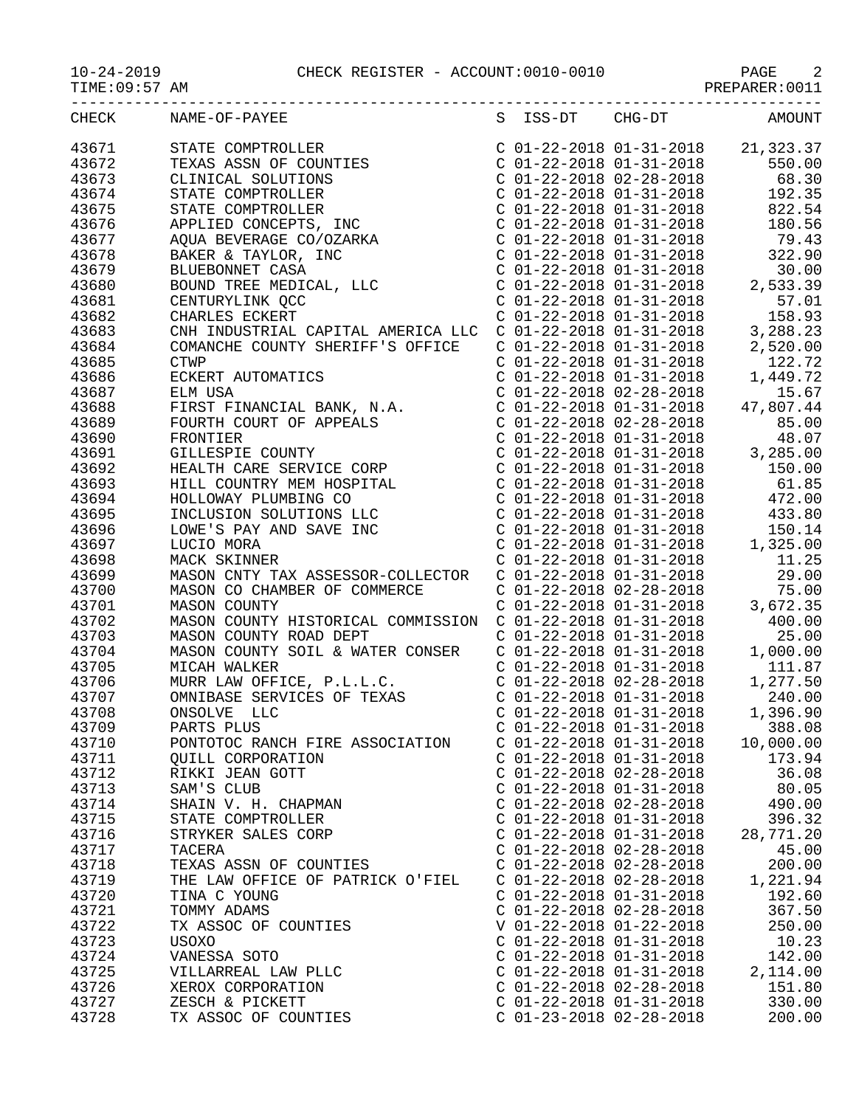PREPARER:0011

| CHECK | NAME-OF-PAYEE                                                                                                                                                                                                                                        |                           |                           | S ISS-DT CHG-DT AMOUNT |
|-------|------------------------------------------------------------------------------------------------------------------------------------------------------------------------------------------------------------------------------------------------------|---------------------------|---------------------------|------------------------|
| 43671 |                                                                                                                                                                                                                                                      |                           |                           |                        |
| 43672 |                                                                                                                                                                                                                                                      |                           |                           |                        |
| 43673 |                                                                                                                                                                                                                                                      |                           |                           |                        |
| 43674 |                                                                                                                                                                                                                                                      |                           |                           |                        |
| 43675 |                                                                                                                                                                                                                                                      |                           |                           |                        |
| 43676 |                                                                                                                                                                                                                                                      |                           |                           |                        |
|       |                                                                                                                                                                                                                                                      |                           |                           |                        |
| 43677 |                                                                                                                                                                                                                                                      |                           |                           |                        |
| 43678 |                                                                                                                                                                                                                                                      |                           |                           |                        |
| 43679 |                                                                                                                                                                                                                                                      |                           |                           |                        |
| 43680 |                                                                                                                                                                                                                                                      |                           |                           |                        |
| 43681 |                                                                                                                                                                                                                                                      |                           |                           |                        |
| 43682 |                                                                                                                                                                                                                                                      |                           |                           |                        |
| 43683 |                                                                                                                                                                                                                                                      |                           |                           |                        |
| 43684 |                                                                                                                                                                                                                                                      |                           |                           |                        |
| 43685 |                                                                                                                                                                                                                                                      |                           |                           |                        |
| 43686 |                                                                                                                                                                                                                                                      |                           |                           |                        |
| 43687 |                                                                                                                                                                                                                                                      |                           |                           |                        |
| 43688 |                                                                                                                                                                                                                                                      |                           |                           |                        |
| 43689 |                                                                                                                                                                                                                                                      |                           |                           |                        |
| 43690 |                                                                                                                                                                                                                                                      |                           |                           |                        |
| 43691 |                                                                                                                                                                                                                                                      |                           |                           |                        |
| 43692 |                                                                                                                                                                                                                                                      |                           |                           |                        |
| 43693 |                                                                                                                                                                                                                                                      |                           |                           |                        |
| 43694 |                                                                                                                                                                                                                                                      |                           |                           |                        |
| 43695 |                                                                                                                                                                                                                                                      |                           |                           |                        |
| 43696 |                                                                                                                                                                                                                                                      |                           |                           |                        |
| 43697 |                                                                                                                                                                                                                                                      |                           |                           |                        |
| 43698 | MACK SKINNER<br>MACK SKINNER<br>MASON CNTY TAX ASSESSOR-COLLECTOR<br>MASON CO CHAMBER OF COMMERCE<br>MASON COUNTY<br>MASON COUNTY<br>MASON COUNTY<br>C 01-22-2018 01-31-2018<br>C 01-22-2018 01-31-2018<br>C 01-22-2018<br>C 01-22-2018<br>C 01-22-2 |                           |                           |                        |
| 43699 |                                                                                                                                                                                                                                                      |                           |                           |                        |
| 43700 |                                                                                                                                                                                                                                                      |                           |                           |                        |
| 43701 |                                                                                                                                                                                                                                                      |                           |                           |                        |
| 43702 |                                                                                                                                                                                                                                                      |                           |                           |                        |
| 43703 | MASON COUNTY HISTORICAL COMMISSION C 01-22-2018 01-31-2018<br>MASON COUNTY ROAD DEPT C 01-22-2018 01-31-2018<br>MASON COUNTY ROAD DEPT C 01-22-2018 01-31-2018<br>MASON COUNTY SOIL & WATER CONSER C 01-22-2018 01-31-2018<br>MICAH WA               |                           |                           |                        |
| 43704 |                                                                                                                                                                                                                                                      |                           |                           |                        |
| 43705 |                                                                                                                                                                                                                                                      |                           |                           |                        |
| 43706 |                                                                                                                                                                                                                                                      |                           |                           |                        |
| 43707 |                                                                                                                                                                                                                                                      |                           |                           |                        |
| 43708 |                                                                                                                                                                                                                                                      |                           |                           |                        |
| 43709 | PARTS PLUS                                                                                                                                                                                                                                           |                           | $C$ 01-22-2018 01-31-2018 | 388.08                 |
| 43710 | PONTOTOC RANCH FIRE ASSOCIATION                                                                                                                                                                                                                      | $C$ 01-22-2018 01-31-2018 |                           | 10,000.00              |
| 43711 | <b>OUILL CORPORATION</b>                                                                                                                                                                                                                             | $C$ 01-22-2018 01-31-2018 |                           | 173.94                 |
| 43712 | RIKKI JEAN GOTT                                                                                                                                                                                                                                      | $C$ 01-22-2018 02-28-2018 |                           | 36.08                  |
| 43713 | SAM'S CLUB                                                                                                                                                                                                                                           | $C$ 01-22-2018 01-31-2018 |                           | 80.05                  |
| 43714 |                                                                                                                                                                                                                                                      | $C$ 01-22-2018 02-28-2018 |                           | 490.00                 |
|       | SHAIN V. H. CHAPMAN<br>STATE COMPTROLLER                                                                                                                                                                                                             |                           |                           |                        |
| 43715 |                                                                                                                                                                                                                                                      | $C$ 01-22-2018 01-31-2018 |                           | 396.32                 |
| 43716 | STRYKER SALES CORP                                                                                                                                                                                                                                   | $C$ 01-22-2018 01-31-2018 |                           | 28,771.20              |
| 43717 | TACERA                                                                                                                                                                                                                                               | $C$ 01-22-2018 02-28-2018 |                           | 45.00                  |
| 43718 | TEXAS ASSN OF COUNTIES                                                                                                                                                                                                                               | $C$ 01-22-2018 02-28-2018 |                           | 200.00                 |
| 43719 | THE LAW OFFICE OF PATRICK O'FIEL                                                                                                                                                                                                                     | $C$ 01-22-2018 02-28-2018 |                           | 1,221.94               |
| 43720 | TINA C YOUNG                                                                                                                                                                                                                                         | $C$ 01-22-2018 01-31-2018 |                           | 192.60                 |
| 43721 | TOMMY ADAMS                                                                                                                                                                                                                                          | $C$ 01-22-2018 02-28-2018 |                           | 367.50                 |
| 43722 | TX ASSOC OF COUNTIES                                                                                                                                                                                                                                 | V 01-22-2018 01-22-2018   |                           | 250.00                 |
| 43723 | <b>USOXO</b>                                                                                                                                                                                                                                         | $C$ 01-22-2018 01-31-2018 |                           | 10.23                  |
| 43724 | VANESSA SOTO                                                                                                                                                                                                                                         | $C$ 01-22-2018 01-31-2018 |                           | 142.00                 |
| 43725 | VILLARREAL LAW PLLC                                                                                                                                                                                                                                  | $C$ 01-22-2018 01-31-2018 |                           | 2,114.00               |
| 43726 | XEROX CORPORATION                                                                                                                                                                                                                                    | $C$ 01-22-2018 02-28-2018 |                           | 151.80                 |
| 43727 | ZESCH & PICKETT                                                                                                                                                                                                                                      | $C$ 01-22-2018 01-31-2018 |                           | 330.00                 |
| 43728 | TX ASSOC OF COUNTIES                                                                                                                                                                                                                                 | $C$ 01-23-2018 02-28-2018 |                           | 200.00                 |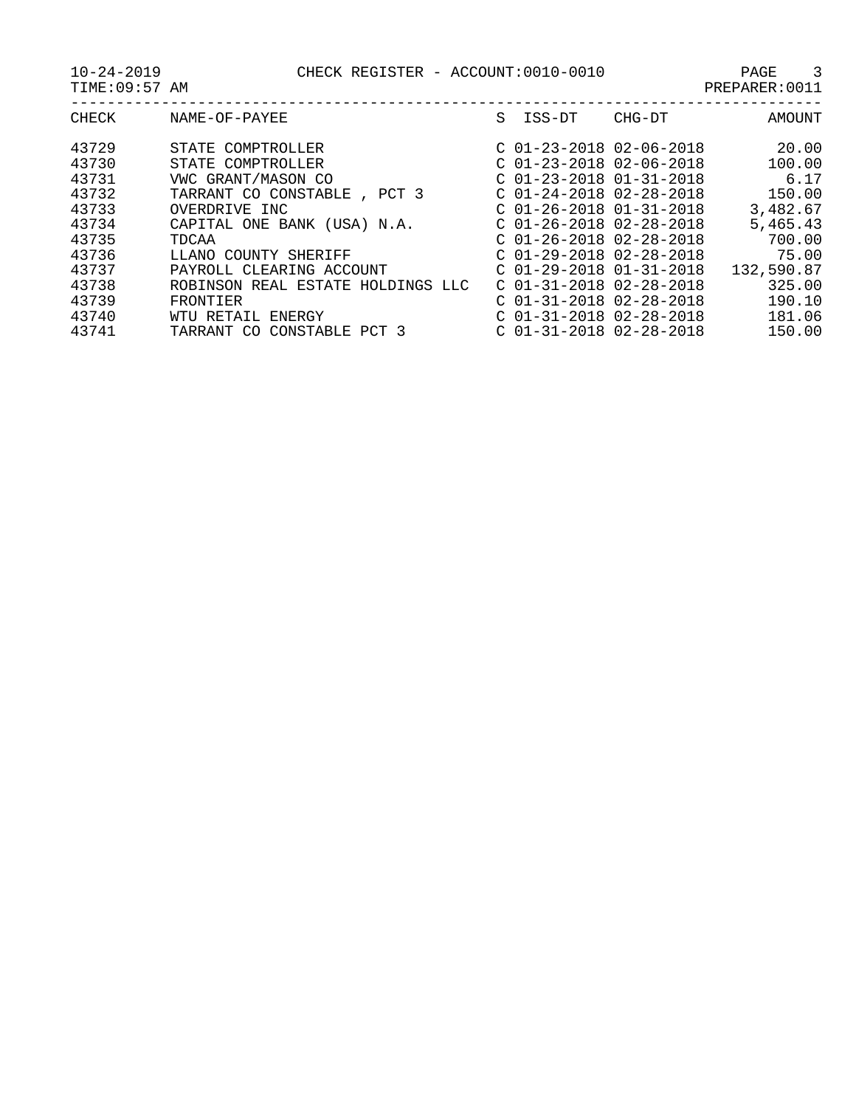| CHECK | NAME-OF-PAYEE                        | S | ISS-DT                    | CHG-DT | AMOUNT     |
|-------|--------------------------------------|---|---------------------------|--------|------------|
| 43729 | STATE COMPTROLLER                    |   | $C$ 01-23-2018 02-06-2018 |        | 20.00      |
| 43730 | STATE COMPTROLLER                    |   | $C$ 01-23-2018 02-06-2018 |        | 100.00     |
| 43731 | VWC GRANT/MASON CO                   |   | $C$ 01-23-2018 01-31-2018 |        | 6.17       |
| 43732 | TARRANT CO CONSTABLE<br>PCT 3        |   | $C$ 01-24-2018 02-28-2018 |        | 150.00     |
| 43733 | OVERDRIVE INC                        |   | $C$ 01-26-2018 01-31-2018 |        | 3,482.67   |
| 43734 | CAPITAL ONE BANK (USA) N.A.          |   | $C$ 01-26-2018 02-28-2018 |        | 5,465.43   |
| 43735 | TDCAA                                |   | $C$ 01-26-2018 02-28-2018 |        | 700.00     |
| 43736 | LLANO COUNTY SHERIFF                 |   | $C$ 01-29-2018 02-28-2018 |        | 75.00      |
| 43737 | PAYROLL CLEARING ACCOUNT             |   | $C$ 01-29-2018 01-31-2018 |        | 132,590.87 |
| 43738 | ROBINSON REAL ESTATE HOLDINGS LLC    |   | $C$ 01-31-2018 02-28-2018 |        | 325.00     |
| 43739 | FRONTIER                             |   | $C$ 01-31-2018 02-28-2018 |        | 190.10     |
| 43740 | WTU RETAIL<br>ENERGY                 |   | $C$ 01-31-2018 02-28-2018 |        | 181.06     |
| 43741 | CONSTABLE<br>TARRANT<br>PCT 3<br>CO. |   | $C$ 01-31-2018 02-28-2018 |        | 150.00     |